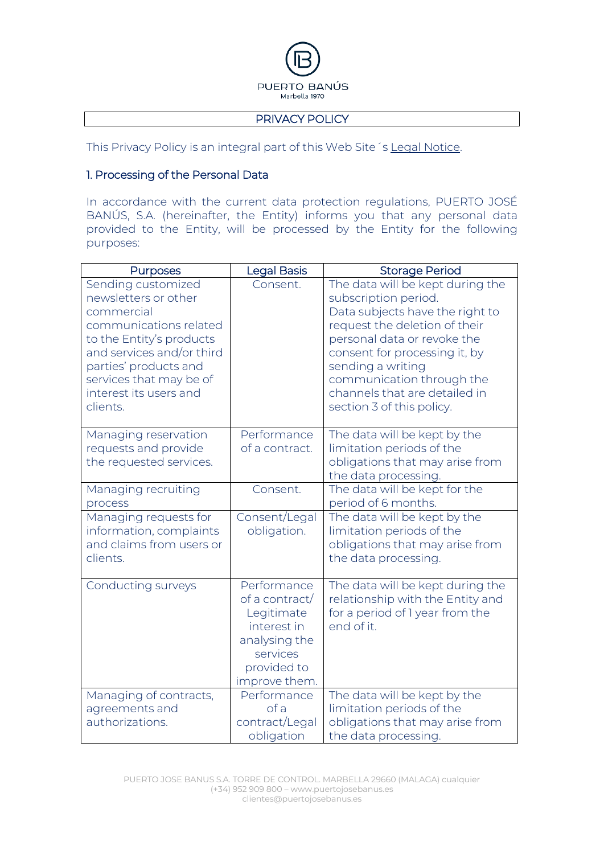

#### PRIVACY POLICY

This Privacy Policy is an integral part of this Web Site´s Legal Notice.

#### 1. Processing of the Personal Data

In accordance with the current data protection regulations, PUERTO JOSÉ BANÚS, S.A. (hereinafter, the Entity) informs you that any personal data provided to the Entity, will be processed by the Entity for the following purposes:

| <b>Purposes</b>                                                                                                                                                                                                                       | <b>Legal Basis</b>                                                                                                      | <b>Storage Period</b>                                                                                                                                                                                                                                                                                        |
|---------------------------------------------------------------------------------------------------------------------------------------------------------------------------------------------------------------------------------------|-------------------------------------------------------------------------------------------------------------------------|--------------------------------------------------------------------------------------------------------------------------------------------------------------------------------------------------------------------------------------------------------------------------------------------------------------|
| Sending customized<br>newsletters or other<br>commercial<br>communications related<br>to the Entity's products<br>and services and/or third<br>parties' products and<br>services that may be of<br>interest its users and<br>clients. | Consent.                                                                                                                | The data will be kept during the<br>subscription period.<br>Data subjects have the right to<br>request the deletion of their<br>personal data or revoke the<br>consent for processing it, by<br>sending a writing<br>communication through the<br>channels that are detailed in<br>section 3 of this policy. |
| Managing reservation<br>requests and provide<br>the requested services.                                                                                                                                                               | Performance<br>of a contract.                                                                                           | The data will be kept by the<br>limitation periods of the<br>obligations that may arise from<br>the data processing.                                                                                                                                                                                         |
| Managing recruiting<br>process                                                                                                                                                                                                        | Consent.                                                                                                                | The data will be kept for the<br>period of 6 months.                                                                                                                                                                                                                                                         |
| Managing requests for<br>information, complaints<br>and claims from users or<br>clients.                                                                                                                                              | Consent/Legal<br>obligation.                                                                                            | The data will be kept by the<br>limitation periods of the<br>obligations that may arise from<br>the data processing.                                                                                                                                                                                         |
| Conducting surveys                                                                                                                                                                                                                    | Performance<br>of a contract/<br>Legitimate<br>interest in<br>analysing the<br>services<br>provided to<br>improve them. | The data will be kept during the<br>relationship with the Entity and<br>for a period of 1 year from the<br>end of it.                                                                                                                                                                                        |
| Managing of contracts,<br>agreements and<br>authorizations.                                                                                                                                                                           | Performance<br>of a<br>contract/Legal<br>obligation                                                                     | The data will be kept by the<br>limitation periods of the<br>obligations that may arise from<br>the data processing.                                                                                                                                                                                         |